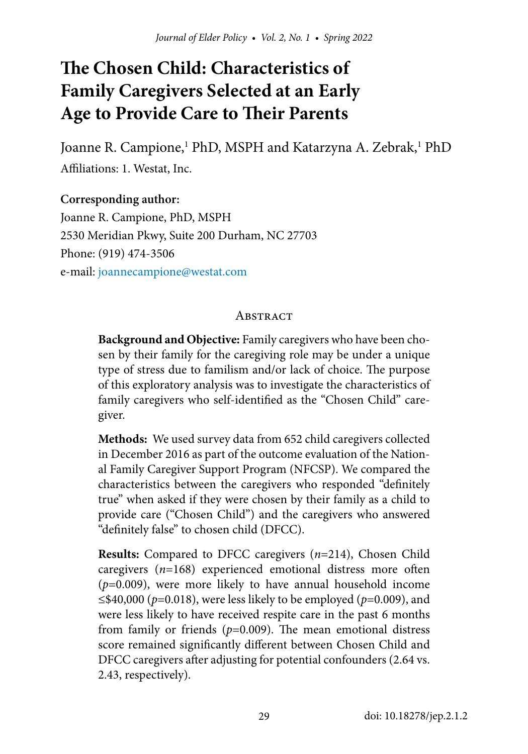# **The Chosen Child: Characteristics of Family Caregivers Selected at an Early Age to Provide Care to Their Parents**

Joanne R. Campione,<sup>1</sup> PhD, MSPH and Katarzyna A. Zebrak,<sup>1</sup> PhD Affiliations: 1. Westat, Inc.

**Corresponding author:** Joanne R. Campione, PhD, MSPH 2530 Meridian Pkwy, Suite 200 Durham, NC 27703 Phone: (919) 474-3506 e-mail: [joannecampione@westat.com](mailto:joannecampione%40westat.com?subject=)

#### **ABSTRACT**

**Background and Objective:** Family caregivers who have been chosen by their family for the caregiving role may be under a unique type of stress due to familism and/or lack of choice. The purpose of this exploratory analysis was to investigate the characteristics of family caregivers who self-identified as the "Chosen Child" caregiver.

**Methods:** We used survey data from 652 child caregivers collected in December 2016 as part of the outcome evaluation of the National Family Caregiver Support Program (NFCSP). We compared the characteristics between the caregivers who responded "definitely true" when asked if they were chosen by their family as a child to provide care ("Chosen Child") and the caregivers who answered "definitely false" to chosen child (DFCC).

**Results:** Compared to DFCC caregivers (*n*=214), Chosen Child caregivers (*n*=168) experienced emotional distress more often (*p*=0.009), were more likely to have annual household income ≤\$40,000 (*p*=0.018), were less likely to be employed (*p*=0.009), and were less likely to have received respite care in the past 6 months from family or friends (*p*=0.009). The mean emotional distress score remained significantly different between Chosen Child and DFCC caregivers after adjusting for potential confounders (2.64 vs. 2.43, respectively).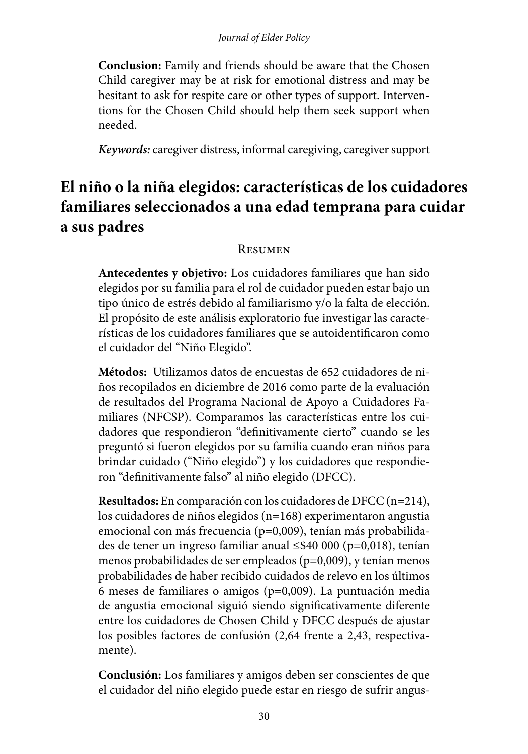**Conclusion:** Family and friends should be aware that the Chosen Child caregiver may be at risk for emotional distress and may be hesitant to ask for respite care or other types of support. Interventions for the Chosen Child should help them seek support when needed.

*Keywords:* caregiver distress, informal caregiving, caregiver support

# **El niño o la niña elegidos: características de los cuidadores familiares seleccionados a una edad temprana para cuidar a sus padres**

#### Resumen

**Antecedentes y objetivo:** Los cuidadores familiares que han sido elegidos por su familia para el rol de cuidador pueden estar bajo un tipo único de estrés debido al familiarismo y/o la falta de elección. El propósito de este análisis exploratorio fue investigar las características de los cuidadores familiares que se autoidentificaron como el cuidador del "Niño Elegido".

**Métodos:** Utilizamos datos de encuestas de 652 cuidadores de niños recopilados en diciembre de 2016 como parte de la evaluación de resultados del Programa Nacional de Apoyo a Cuidadores Familiares (NFCSP). Comparamos las características entre los cuidadores que respondieron "definitivamente cierto" cuando se les preguntó si fueron elegidos por su familia cuando eran niños para brindar cuidado ("Niño elegido") y los cuidadores que respondieron "definitivamente falso" al niño elegido (DFCC).

**Resultados:** En comparación con los cuidadores de DFCC (n=214), los cuidadores de niños elegidos (n=168) experimentaron angustia emocional con más frecuencia (p=0,009), tenían más probabilidades de tener un ingreso familiar anual ≤\$40 000 (p=0,018), tenían menos probabilidades de ser empleados (p=0,009), y tenían menos probabilidades de haber recibido cuidados de relevo en los últimos 6 meses de familiares o amigos (p=0,009). La puntuación media de angustia emocional siguió siendo significativamente diferente entre los cuidadores de Chosen Child y DFCC después de ajustar los posibles factores de confusión (2,64 frente a 2,43, respectivamente).

**Conclusión:** Los familiares y amigos deben ser conscientes de que el cuidador del niño elegido puede estar en riesgo de sufrir angus-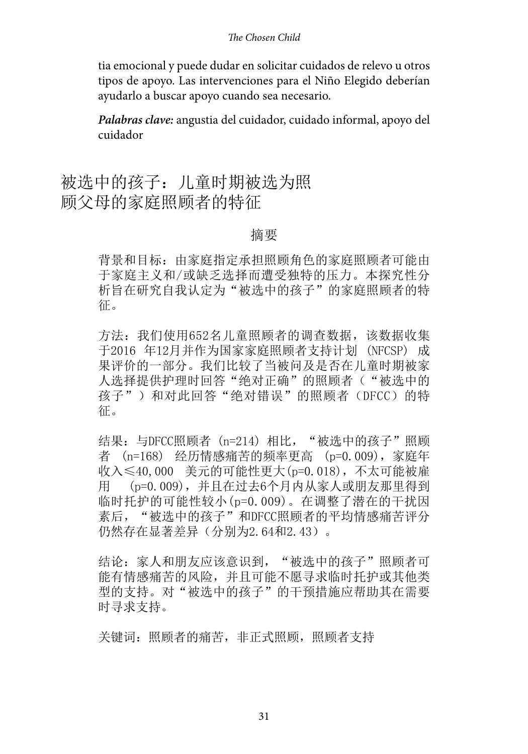#### *The Chosen Child*

tia emocional y puede dudar en solicitar cuidados de relevo u otros tipos de apoyo. Las intervenciones para el Niño Elegido deberían ayudarlo a buscar apoyo cuando sea necesario.

*Palabras clave:* angustia del cuidador, cuidado informal, apoyo del cuidador

被选中的孩子:儿童时期被选为照 顾父母的家庭照顾者的特征

#### 摘要

背景和目标:由家庭指定承担照顾角色的家庭照顾者可能由 于家庭主义和/或缺乏选择而遭受独特的压力。本探究性分 析旨在研究自我认定为"被选中的孩子"的家庭照顾者的特 征。

方法: 我们使用652名儿童照顾者的调查数据,该数据收集 于2016 年12月并作为国家家庭照顾者支持计划 (NFCSP) 成 果评价的一部分。我们比较了当被问及是否在儿童时期被家 人选择提供护理时回答"绝对正确"的照顾者("被选中的 孩子")和对此回答"绝对错误"的照顾者(DFCC)的特 征。

结果: 与DFCC照顾者 (n=214) 相比, "被选中的孩子"照顾 者 (n=168) 经历情感痛苦的频率更高 (p=0.009),家庭年 收入≤40,000 美元的可能性更大(p=0.018),不太可能被雇 用 (p=0.009),并且在过去6个月内从家人或朋友那里得到 临时托护的可能性较小(p=0.009)。在调整了潜在的干扰因 素后, "被选中的孩子"和DFCC照顾者的平均情感痛苦评分 仍然存在显著差异(分别为2.64和2.43)。

结论:家人和朋友应该意识到,"被选中的孩子"照顾者可 能有情感痛苦的风险,并且可能不愿寻求临时托护或其他类 型的支持。对"被选中的孩子"的干预措施应帮助其在需要 时寻求支持。

关键词:照顾者的痛苦,非正式照顾,照顾者支持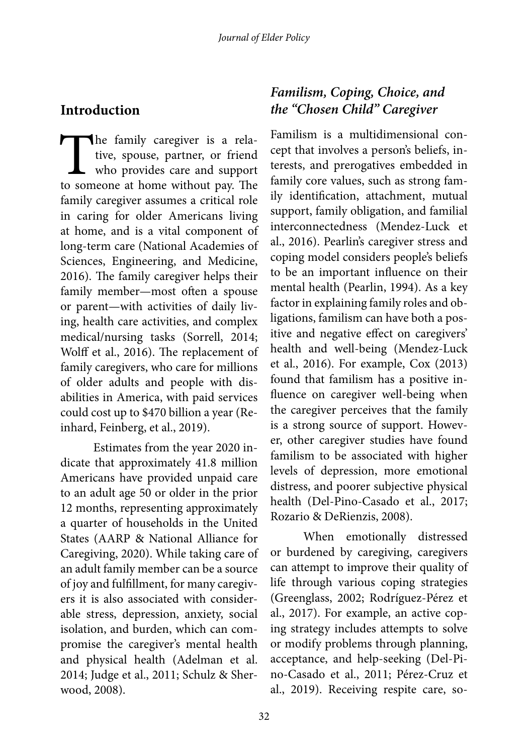# **Introduction**

The family caregiver is a rela-<br>tive, spouse, partner, or friend<br>who provides care and support<br>to someone at home without pay. The tive, spouse, partner, or friend who provides care and support to someone at home without pay. The family caregiver assumes a critical role in caring for older Americans living at home, and is a vital component of long-term care (National Academies of Sciences, Engineering, and Medicine, 2016). The family caregiver helps their family member—most often a spouse or parent—with activities of daily living, health care activities, and complex medical/nursing tasks (Sorrell, 2014; Wolff et al., 2016). The replacement of family caregivers, who care for millions of older adults and people with disabilities in America, with paid services could cost up to \$470 billion a year (Reinhard, Feinberg, et al., 2019).

Estimates from the year 2020 indicate that approximately 41.8 million Americans have provided unpaid care to an adult age 50 or older in the prior 12 months, representing approximately a quarter of households in the United States (AARP & National Alliance for Caregiving, 2020). While taking care of an adult family member can be a source of joy and fulfillment, for many caregivers it is also associated with considerable stress, depression, anxiety, social isolation, and burden, which can compromise the caregiver's mental health and physical health (Adelman et al. 2014; Judge et al., 2011; Schulz & Sherwood, 2008).

# *Familism, Coping, Choice, and the "Chosen Child" Caregiver*

Familism is a multidimensional concept that involves a person's beliefs, interests, and prerogatives embedded in family core values, such as strong family identification, attachment, mutual support, family obligation, and familial interconnectedness (Mendez-Luck et al., 2016). Pearlin's caregiver stress and coping model considers people's beliefs to be an important influence on their mental health (Pearlin, 1994). As a key factor in explaining family roles and obligations, familism can have both a positive and negative effect on caregivers' health and well-being (Mendez-Luck et al., 2016). For example, Cox (2013) found that familism has a positive influence on caregiver well-being when the caregiver perceives that the family is a strong source of support. However, other caregiver studies have found familism to be associated with higher levels of depression, more emotional distress, and poorer subjective physical health (Del-Pino-Casado et al., 2017; Rozario & DeRienzis, 2008).

When emotionally distressed or burdened by caregiving, caregivers can attempt to improve their quality of life through various coping strategies (Greenglass, 2002; Rodríguez-Pérez et al., 2017). For example, an active coping strategy includes attempts to solve or modify problems through planning, acceptance, and help-seeking (Del-Pino-Casado et al., 2011; Pérez-Cruz et al., 2019). Receiving respite care, so-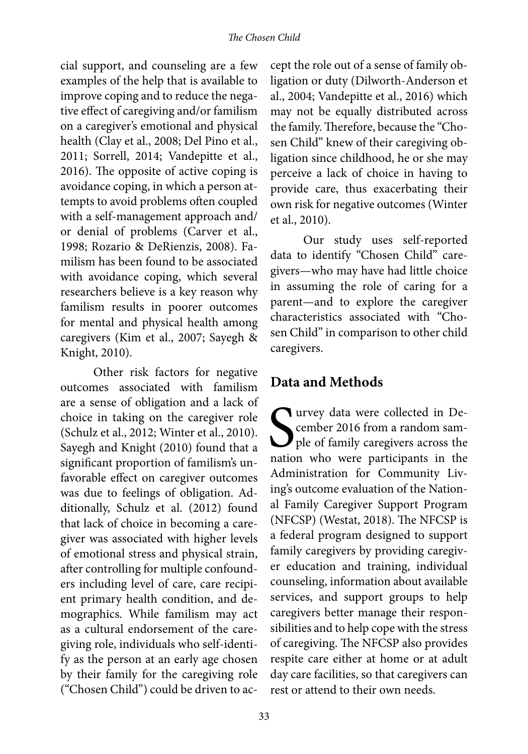#### *The Chosen Child*

cial support, and counseling are a few examples of the help that is available to improve coping and to reduce the negative effect of caregiving and/or familism on a caregiver's emotional and physical health (Clay et al., 2008; Del Pino et al., 2011; Sorrell, 2014; Vandepitte et al., 2016). The opposite of active coping is avoidance coping, in which a person attempts to avoid problems often coupled with a self-management approach and/ or denial of problems (Carver et al., 1998; Rozario & DeRienzis, 2008). Familism has been found to be associated with avoidance coping, which several researchers believe is a key reason why familism results in poorer outcomes for mental and physical health among caregivers (Kim et al., 2007; Sayegh & Knight, 2010).

Other risk factors for negative outcomes associated with familism are a sense of obligation and a lack of choice in taking on the caregiver role (Schulz et al., 2012; Winter et al., 2010). Sayegh and Knight (2010) found that a significant proportion of familism's unfavorable effect on caregiver outcomes was due to feelings of obligation. Additionally, Schulz et al. (2012) found that lack of choice in becoming a caregiver was associated with higher levels of emotional stress and physical strain, after controlling for multiple confounders including level of care, care recipient primary health condition, and demographics. While familism may act as a cultural endorsement of the caregiving role, individuals who self-identify as the person at an early age chosen by their family for the caregiving role ("Chosen Child") could be driven to ac-

cept the role out of a sense of family obligation or duty (Dilworth-Anderson et al., 2004; Vandepitte et al., 2016) which may not be equally distributed across the family. Therefore, because the "Chosen Child" knew of their caregiving obligation since childhood, he or she may perceive a lack of choice in having to provide care, thus exacerbating their own risk for negative outcomes (Winter et al., 2010).

Our study uses self-reported data to identify "Chosen Child" caregivers—who may have had little choice in assuming the role of caring for a parent—and to explore the caregiver characteristics associated with "Chosen Child" in comparison to other child caregivers.

## **Data and Methods**

Survey data were collected in December 2016 from a random sample of family caregivers across the nation who were participants in the cember 2016 from a random sample of family caregivers across the nation who were participants in the Administration for Community Living's outcome evaluation of the National Family Caregiver Support Program (NFCSP) (Westat, 2018). The NFCSP is a federal program designed to support family caregivers by providing caregiver education and training, individual counseling, information about available services, and support groups to help caregivers better manage their responsibilities and to help cope with the stress of caregiving. The NFCSP also provides respite care either at home or at adult day care facilities, so that caregivers can rest or attend to their own needs.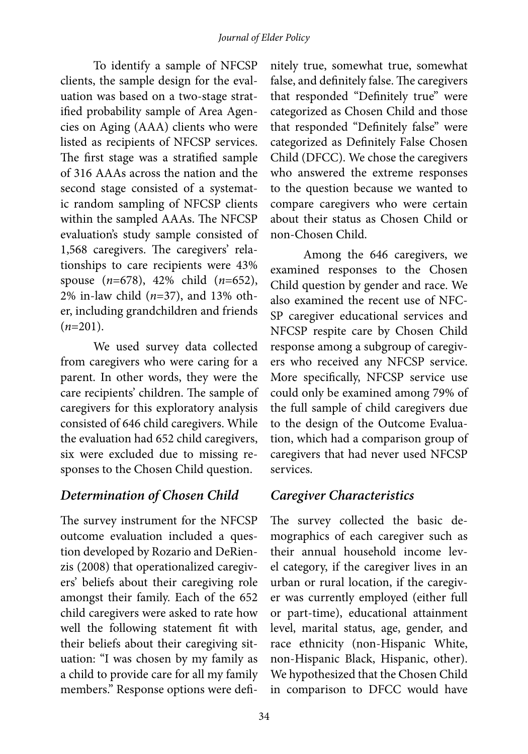To identify a sample of NFCSP clients, the sample design for the evaluation was based on a two-stage stratified probability sample of Area Agencies on Aging (AAA) clients who were listed as recipients of NFCSP services. The first stage was a stratified sample of 316 AAAs across the nation and the second stage consisted of a systematic random sampling of NFCSP clients within the sampled AAAs. The NFCSP evaluation's study sample consisted of 1,568 caregivers. The caregivers' relationships to care recipients were 43% spouse (*n*=678), 42% child (*n*=652), 2% in-law child (*n*=37), and 13% other, including grandchildren and friends (*n*=201).

We used survey data collected from caregivers who were caring for a parent. In other words, they were the care recipients' children. The sample of caregivers for this exploratory analysis consisted of 646 child caregivers. While the evaluation had 652 child caregivers, six were excluded due to missing responses to the Chosen Child question.

# *Determination of Chosen Child*

The survey instrument for the NFCSP outcome evaluation included a question developed by Rozario and DeRienzis (2008) that operationalized caregivers' beliefs about their caregiving role amongst their family. Each of the 652 child caregivers were asked to rate how well the following statement fit with their beliefs about their caregiving situation: "I was chosen by my family as a child to provide care for all my family members." Response options were definitely true, somewhat true, somewhat false, and definitely false. The caregivers that responded "Definitely true" were categorized as Chosen Child and those that responded "Definitely false" were categorized as Definitely False Chosen Child (DFCC). We chose the caregivers who answered the extreme responses to the question because we wanted to compare caregivers who were certain about their status as Chosen Child or non-Chosen Child.

Among the 646 caregivers, we examined responses to the Chosen Child question by gender and race. We also examined the recent use of NFC-SP caregiver educational services and NFCSP respite care by Chosen Child response among a subgroup of caregivers who received any NFCSP service. More specifically, NFCSP service use could only be examined among 79% of the full sample of child caregivers due to the design of the Outcome Evaluation, which had a comparison group of caregivers that had never used NFCSP services.

# *Caregiver Characteristics*

The survey collected the basic demographics of each caregiver such as their annual household income level category, if the caregiver lives in an urban or rural location, if the caregiver was currently employed (either full or part-time), educational attainment level, marital status, age, gender, and race ethnicity (non-Hispanic White, non-Hispanic Black, Hispanic, other). We hypothesized that the Chosen Child in comparison to DFCC would have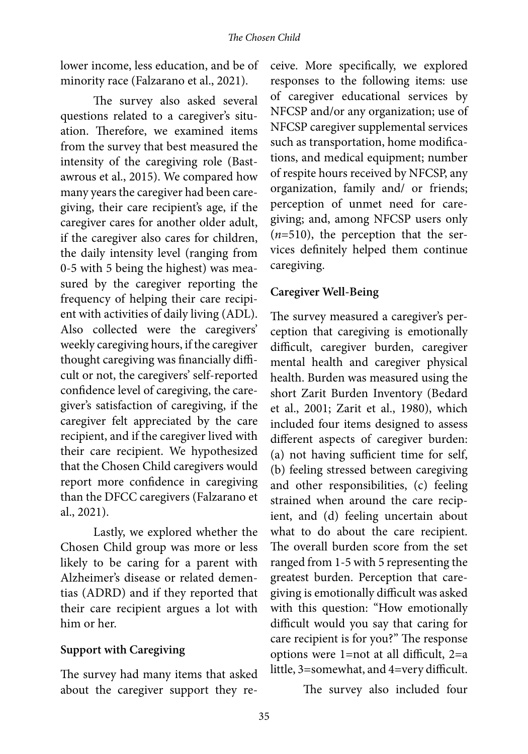lower income, less education, and be of minority race (Falzarano et al., 2021).

The survey also asked several questions related to a caregiver's situation. Therefore, we examined items from the survey that best measured the intensity of the caregiving role (Bastawrous et al., 2015). We compared how many years the caregiver had been caregiving, their care recipient's age, if the caregiver cares for another older adult, if the caregiver also cares for children, the daily intensity level (ranging from 0-5 with 5 being the highest) was measured by the caregiver reporting the frequency of helping their care recipient with activities of daily living (ADL). Also collected were the caregivers' weekly caregiving hours, if the caregiver thought caregiving was financially difficult or not, the caregivers' self-reported confidence level of caregiving, the caregiver's satisfaction of caregiving, if the caregiver felt appreciated by the care recipient, and if the caregiver lived with their care recipient. We hypothesized that the Chosen Child caregivers would report more confidence in caregiving than the DFCC caregivers (Falzarano et al., 2021).

Lastly, we explored whether the Chosen Child group was more or less likely to be caring for a parent with Alzheimer's disease or related dementias (ADRD) and if they reported that their care recipient argues a lot with him or her.

#### **Support with Caregiving**

The survey had many items that asked about the caregiver support they re-

ceive. More specifically, we explored responses to the following items: use of caregiver educational services by NFCSP and/or any organization; use of NFCSP caregiver supplemental services such as transportation, home modifications, and medical equipment; number of respite hours received by NFCSP, any organization, family and/ or friends; perception of unmet need for caregiving; and, among NFCSP users only (*n*=510), the perception that the services definitely helped them continue caregiving.

#### **Caregiver Well-Being**

The survey measured a caregiver's perception that caregiving is emotionally difficult, caregiver burden, caregiver mental health and caregiver physical health. Burden was measured using the short Zarit Burden Inventory (Bedard et al., 2001; Zarit et al., 1980), which included four items designed to assess different aspects of caregiver burden: (a) not having sufficient time for self, (b) feeling stressed between caregiving and other responsibilities, (c) feeling strained when around the care recipient, and (d) feeling uncertain about what to do about the care recipient. The overall burden score from the set ranged from 1-5 with 5 representing the greatest burden. Perception that caregiving is emotionally difficult was asked with this question: "How emotionally difficult would you say that caring for care recipient is for you?" The response options were 1=not at all difficult, 2=a little, 3=somewhat, and 4=very difficult.

The survey also included four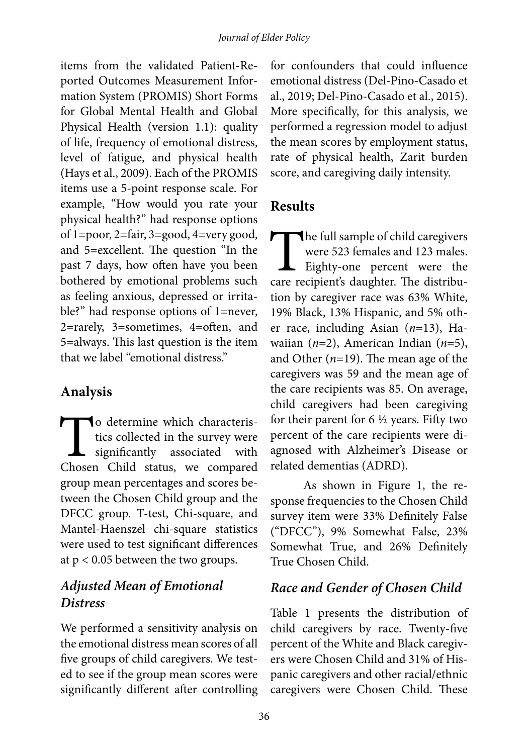items from the validated Patient-Reported Outcomes Measurement Information System (PROMIS) Short Forms for Global Mental Health and Global Physical Health (version 1.1): quality of life, frequency of emotional distress, level of fatigue, and physical health (Hays et al., 2009). Each of the PROMIS items use a 5-point response scale. For example, "How would you rate your physical health?" had response options of 1=poor, 2=fair, 3=good, 4=very good, and 5=excellent. The question "In the past 7 days, how often have you been bothered by emotional problems such as feeling anxious, depressed or irritable?" had response options of 1=never, 2=rarely, 3=sometimes, 4=often, and 5=always. This last question is the item that we label "emotional distress."

# **Analysis**

To determine which characteristics collected in the survey were significantly associated with Chosen Child status, we compared tics collected in the survey were significantly associated with group mean percentages and scores between the Chosen Child group and the DFCC group. T-test, Chi-square, and Mantel-Haenszel chi-square statistics were used to test significant differences at  $p < 0.05$  between the two groups.

# *Adjusted Mean of Emotional Distress*

We performed a sensitivity analysis on the emotional distress mean scores of all five groups of child caregivers. We tested to see if the group mean scores were significantly different after controlling for confounders that could influence emotional distress (Del-Pino-Casado et al., 2019; Del-Pino-Casado et al., 2015). More specifically, for this analysis, we performed a regression model to adjust the mean scores by employment status, rate of physical health, Zarit burden score, and caregiving daily intensity.

# **Results**

The full sample of child caregivers<br>
were 523 females and 123 males.<br>
Eighty-one percent were the<br>
care recipient's daughter. The distribuwere 523 females and 123 males. Eighty-one percent were the tion by caregiver race was 63% White, 19% Black, 13% Hispanic, and 5% other race, including Asian (*n*=13), Hawaiian (*n*=2), American Indian (*n*=5), and Other (*n*=19). The mean age of the caregivers was 59 and the mean age of the care recipients was 85. On average, child caregivers had been caregiving for their parent for  $6\frac{1}{2}$  years. Fifty two percent of the care recipients were diagnosed with Alzheimer's Disease or related dementias (ADRD).

As shown in Figure 1, the response frequencies to the Chosen Child survey item were 33% Definitely False ("DFCC"), 9% Somewhat False, 23% Somewhat True, and 26% Definitely True Chosen Child.

# *Race and Gender of Chosen Child*

Table 1 presents the distribution of child caregivers by race. Twenty-five percent of the White and Black caregivers were Chosen Child and 31% of Hispanic caregivers and other racial/ethnic caregivers were Chosen Child. These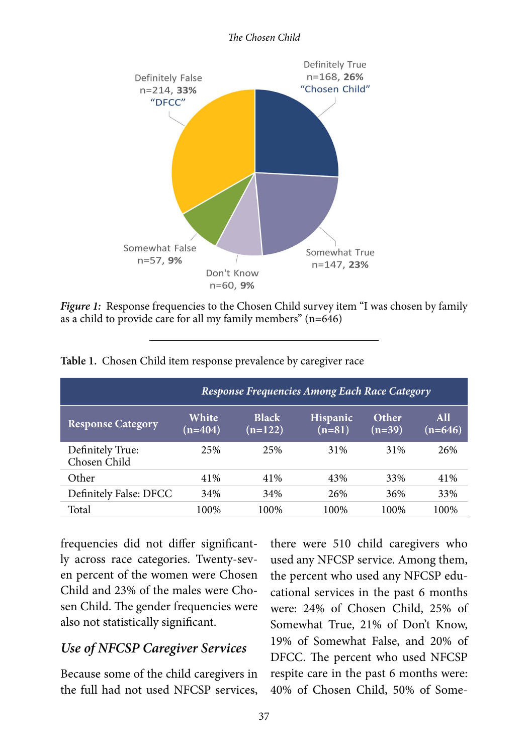



*Figure 1:* Response frequencies to the Chosen Child survey item "I was chosen by family as a child to provide care for all my family members"  $(n=646)$ 

| Response Frequencies Among Each Race Category |                    |                           |                             |                   |                  |  |  |  |  |
|-----------------------------------------------|--------------------|---------------------------|-----------------------------|-------------------|------------------|--|--|--|--|
| <b>Response Category</b>                      | White<br>$(n=404)$ | <b>Black</b><br>$(n=122)$ | <b>Hispanic</b><br>$(n=81)$ | Other<br>$(n=39)$ | All<br>$(n=646)$ |  |  |  |  |
| Definitely True:<br>Chosen Child              | 2.5%               | 25%                       | 31%                         | 31%               | 26%              |  |  |  |  |
| Other                                         | 41%                | 41%                       | 43%                         | 33%               | 41%              |  |  |  |  |
| Definitely False: DFCC                        | 34%                | 34%                       | 26%                         | 36%               | 33%              |  |  |  |  |
| Total                                         | 100%               | 100%                      | 100%                        | 100%              | 100%             |  |  |  |  |

**Table 1.** Chosen Child item response prevalence by caregiver race

frequencies did not differ significantly across race categories. Twenty-seven percent of the women were Chosen Child and 23% of the males were Chosen Child. The gender frequencies were also not statistically significant.

## *Use of NFCSP Caregiver Services*

Because some of the child caregivers in the full had not used NFCSP services,

there were 510 child caregivers who used any NFCSP service. Among them, the percent who used any NFCSP educational services in the past 6 months were: 24% of Chosen Child, 25% of Somewhat True, 21% of Don't Know, 19% of Somewhat False, and 20% of DFCC. The percent who used NFCSP respite care in the past 6 months were: 40% of Chosen Child, 50% of Some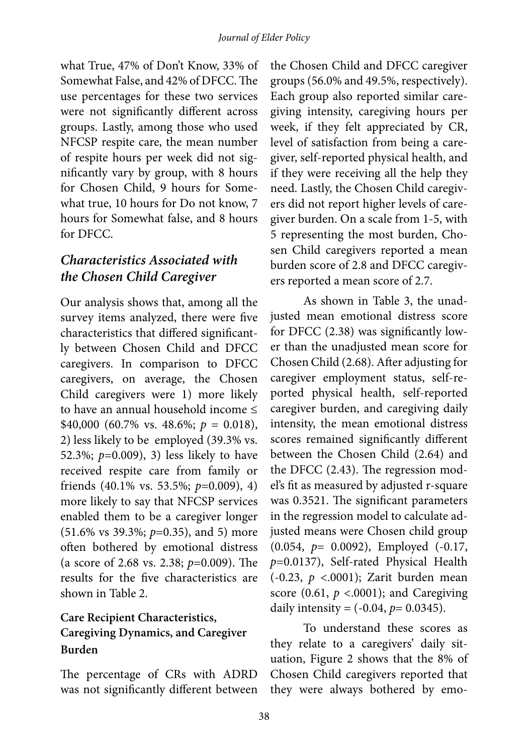what True, 47% of Don't Know, 33% of Somewhat False, and 42% of DFCC. The use percentages for these two services were not significantly different across groups. Lastly, among those who used NFCSP respite care, the mean number of respite hours per week did not significantly vary by group, with 8 hours for Chosen Child, 9 hours for Somewhat true, 10 hours for Do not know, 7 hours for Somewhat false, and 8 hours for DFCC.

# *Characteristics Associated with the Chosen Child Caregiver*

Our analysis shows that, among all the survey items analyzed, there were five characteristics that differed significantly between Chosen Child and DFCC caregivers. In comparison to DFCC caregivers, on average, the Chosen Child caregivers were 1) more likely to have an annual household income ≤ \$40,000 (60.7% vs. 48.6%; *p* = 0.018), 2) less likely to be employed (39.3% vs. 52.3%; *p*=0.009), 3) less likely to have received respite care from family or friends (40.1% vs. 53.5%; *p*=0.009), 4) more likely to say that NFCSP services enabled them to be a caregiver longer (51.6% vs 39.3%; *p*=0.35), and 5) more often bothered by emotional distress (a score of 2.68 vs. 2.38; *p*=0.009). The results for the five characteristics are shown in Table 2.

### **Care Recipient Characteristics, Caregiving Dynamics, and Caregiver Burden**

The percentage of CRs with ADRD was not significantly different between

the Chosen Child and DFCC caregiver groups (56.0% and 49.5%, respectively). Each group also reported similar caregiving intensity, caregiving hours per week, if they felt appreciated by CR, level of satisfaction from being a caregiver, self-reported physical health, and if they were receiving all the help they need. Lastly, the Chosen Child caregivers did not report higher levels of caregiver burden. On a scale from 1-5, with 5 representing the most burden, Chosen Child caregivers reported a mean burden score of 2.8 and DFCC caregivers reported a mean score of 2.7.

As shown in Table 3, the unadjusted mean emotional distress score for DFCC (2.38) was significantly lower than the unadjusted mean score for Chosen Child (2.68). After adjusting for caregiver employment status, self-reported physical health, self-reported caregiver burden, and caregiving daily intensity, the mean emotional distress scores remained significantly different between the Chosen Child (2.64) and the DFCC (2.43). The regression model's fit as measured by adjusted r-square was 0.3521. The significant parameters in the regression model to calculate adjusted means were Chosen child group (0.054, *p*= 0.0092), Employed (-0.17, *p*=0.0137), Self-rated Physical Health (-0.23, *p* <.0001); Zarit burden mean score  $(0.61, p < .0001)$ ; and Caregiving daily intensity =  $(-0.04, p= 0.0345)$ .

To understand these scores as they relate to a caregivers' daily situation, Figure 2 shows that the 8% of Chosen Child caregivers reported that they were always bothered by emo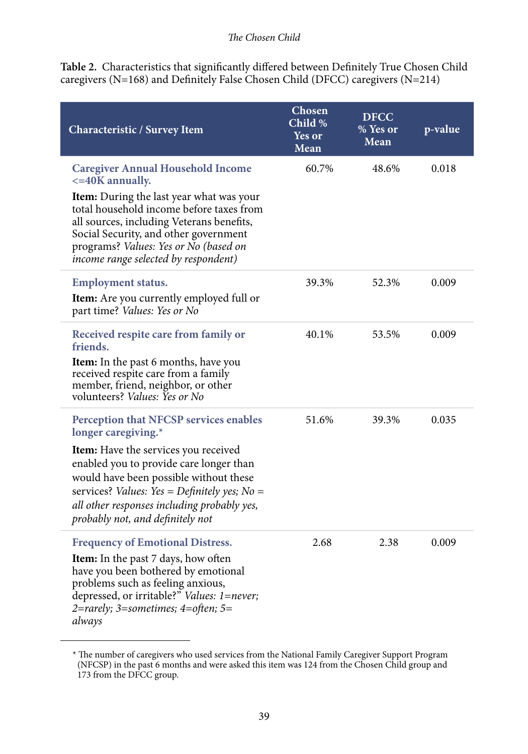**Table 2.** Characteristics that significantly differed between Definitely True Chosen Child caregivers (N=168) and Definitely False Chosen Child (DFCC) caregivers (N=214)

| Characteristic / Survey Item                                                                                                                                                                                                                                 | Chosen<br>Child %<br><b>Yes or</b><br>Mean | <b>DFCC</b><br>% Yes or<br>Mean | p-value |
|--------------------------------------------------------------------------------------------------------------------------------------------------------------------------------------------------------------------------------------------------------------|--------------------------------------------|---------------------------------|---------|
| <b>Caregiver Annual Household Income</b><br>$\epsilon$ =40K annually.                                                                                                                                                                                        | 60.7%                                      | 48.6%                           | 0.018   |
| Item: During the last year what was your<br>total household income before taxes from<br>all sources, including Veterans benefits,<br>Social Security, and other government<br>programs? Values: Yes or No (based on<br>income range selected by respondent)  |                                            |                                 |         |
| <b>Employment status.</b>                                                                                                                                                                                                                                    | 39.3%                                      | 52.3%                           | 0.009   |
| <b>Item:</b> Are you currently employed full or<br>part time? Values: Yes or No                                                                                                                                                                              |                                            |                                 |         |
| Received respite care from family or<br>friends.                                                                                                                                                                                                             | 40.1%                                      | 53.5%                           | 0.009   |
| <b>Item:</b> In the past 6 months, have you<br>received respite care from a family<br>member, friend, neighbor, or other<br>volunteers? Values: Yes or No                                                                                                    |                                            |                                 |         |
| Perception that NFCSP services enables<br>longer caregiving.*                                                                                                                                                                                                | 51.6%                                      | 39.3%                           | 0.035   |
| Item: Have the services you received<br>enabled you to provide care longer than<br>would have been possible without these<br>services? Values: Yes = Definitely yes; No =<br>all other responses including probably yes,<br>probably not, and definitely not |                                            |                                 |         |
| <b>Frequency of Emotional Distress.</b>                                                                                                                                                                                                                      | 2.68                                       | 2.38                            | 0.009   |
| <b>Item:</b> In the past 7 days, how often<br>have you been bothered by emotional<br>problems such as feeling anxious,<br>depressed, or irritable?" Values: 1=never;<br>2=rarely; 3=sometimes; 4=often; 5=<br>always                                         |                                            |                                 |         |

<sup>\*</sup> The number of caregivers who used services from the National Family Caregiver Support Program (NFCSP) in the past 6 months and were asked this item was 124 from the Chosen Child group and 173 from the DFCC group.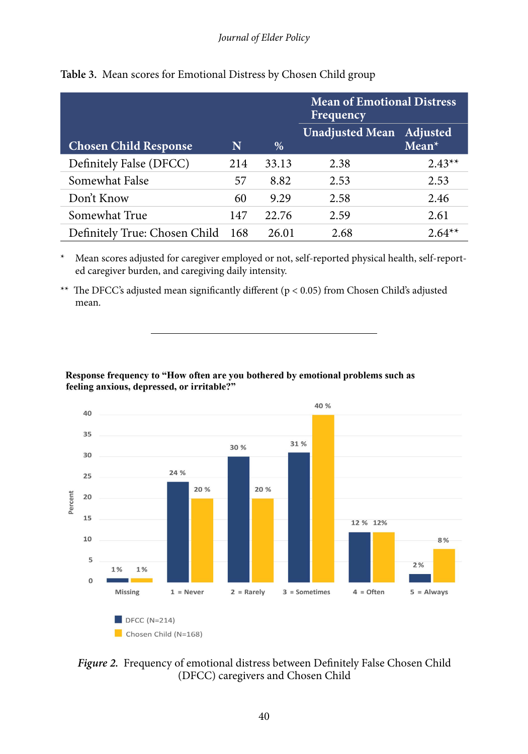|                               |     |       | <b>Mean of Emotional Distress</b><br>Frequency |          |  |
|-------------------------------|-----|-------|------------------------------------------------|----------|--|
| <b>Chosen Child Response</b>  | N   | %     | Unadjusted Mean Adjusted                       | $Mean*$  |  |
| Definitely False (DFCC)       | 214 | 33.13 | 2.38                                           | $2.43**$ |  |
| Somewhat False                | 57  | 8.82  | 2.53                                           | 2.53     |  |
| Don't Know                    | 60  | 9.29  | 2.58                                           | 2.46     |  |
| Somewhat True                 | 147 | 22.76 | 2.59                                           | 2.61     |  |
| Definitely True: Chosen Child | 168 | 26.01 | 2.68                                           | $2.64**$ |  |

**Table 3.** Mean scores for Emotional Distress by Chosen Child group

\* Mean scores adjusted for caregiver employed or not, self-reported physical health, self-reported caregiver burden, and caregiving daily intensity.

\*\* The DFCC's adjusted mean significantly different ( $p < 0.05$ ) from Chosen Child's adjusted mean.

#### Response frequency to "How often are you bothered by emotional problems such as feeling anxious, depressed, or irritable?"



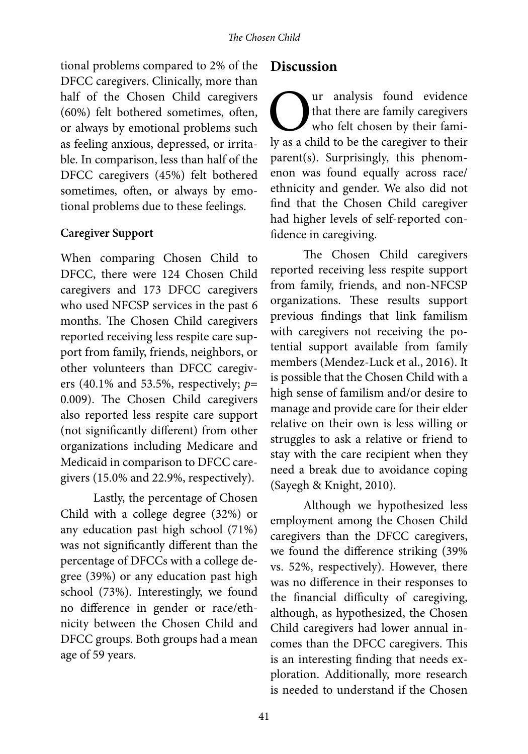tional problems compared to 2% of the DFCC caregivers. Clinically, more than half of the Chosen Child caregivers (60%) felt bothered sometimes, often, or always by emotional problems such as feeling anxious, depressed, or irritable. In comparison, less than half of the DFCC caregivers (45%) felt bothered sometimes, often, or always by emotional problems due to these feelings.

#### **Caregiver Support**

When comparing Chosen Child to DFCC, there were 124 Chosen Child caregivers and 173 DFCC caregivers who used NFCSP services in the past 6 months. The Chosen Child caregivers reported receiving less respite care support from family, friends, neighbors, or other volunteers than DFCC caregivers (40.1% and 53.5%, respectively; *p*= 0.009). The Chosen Child caregivers also reported less respite care support (not significantly different) from other organizations including Medicare and Medicaid in comparison to DFCC caregivers (15.0% and 22.9%, respectively).

Lastly, the percentage of Chosen Child with a college degree (32%) or any education past high school (71%) was not significantly different than the percentage of DFCCs with a college degree (39%) or any education past high school (73%). Interestingly, we found no difference in gender or race/ethnicity between the Chosen Child and DFCC groups. Both groups had a mean age of 59 years.

#### **Discussion**

Our analysis found evidence<br>
who felt chosen by their fami-<br>
ly as a child to be the caregiver to their that there are family caregivers who felt chosen by their famiparent(s). Surprisingly, this phenomenon was found equally across race/ ethnicity and gender. We also did not find that the Chosen Child caregiver had higher levels of self-reported confidence in caregiving.

The Chosen Child caregivers reported receiving less respite support from family, friends, and non-NFCSP organizations. These results support previous findings that link familism with caregivers not receiving the potential support available from family members (Mendez-Luck et al., 2016). It is possible that the Chosen Child with a high sense of familism and/or desire to manage and provide care for their elder relative on their own is less willing or struggles to ask a relative or friend to stay with the care recipient when they need a break due to avoidance coping (Sayegh & Knight, 2010).

Although we hypothesized less employment among the Chosen Child caregivers than the DFCC caregivers, we found the difference striking (39% vs. 52%, respectively). However, there was no difference in their responses to the financial difficulty of caregiving, although, as hypothesized, the Chosen Child caregivers had lower annual incomes than the DFCC caregivers. This is an interesting finding that needs exploration. Additionally, more research is needed to understand if the Chosen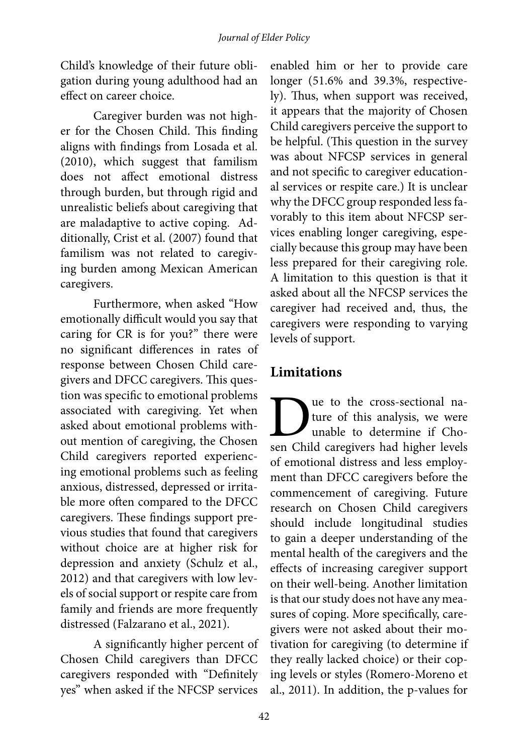Child's knowledge of their future obligation during young adulthood had an effect on career choice.

Caregiver burden was not higher for the Chosen Child. This finding aligns with findings from Losada et al. (2010), which suggest that familism does not affect emotional distress through burden, but through rigid and unrealistic beliefs about caregiving that are maladaptive to active coping. Additionally, Crist et al. (2007) found that familism was not related to caregiving burden among Mexican American caregivers.

Furthermore, when asked "How emotionally difficult would you say that caring for CR is for you?" there were no significant differences in rates of response between Chosen Child caregivers and DFCC caregivers. This question was specific to emotional problems associated with caregiving. Yet when asked about emotional problems without mention of caregiving, the Chosen Child caregivers reported experiencing emotional problems such as feeling anxious, distressed, depressed or irritable more often compared to the DFCC caregivers. These findings support previous studies that found that caregivers without choice are at higher risk for depression and anxiety (Schulz et al., 2012) and that caregivers with low levels of social support or respite care from family and friends are more frequently distressed (Falzarano et al., 2021).

A significantly higher percent of Chosen Child caregivers than DFCC caregivers responded with "Definitely yes" when asked if the NFCSP services

enabled him or her to provide care longer (51.6% and 39.3%, respectively). Thus, when support was received, it appears that the majority of Chosen Child caregivers perceive the support to be helpful. (This question in the survey was about NFCSP services in general and not specific to caregiver educational services or respite care.) It is unclear why the DFCC group responded less favorably to this item about NFCSP services enabling longer caregiving, especially because this group may have been less prepared for their caregiving role. A limitation to this question is that it asked about all the NFCSP services the caregiver had received and, thus, the caregivers were responding to varying levels of support.

# **Limitations**

ue to the cross-sectional nature of this analysis, we were unable to determine if Chosen Child caregivers had higher levels of emotional distress and less employment than DFCC caregivers before the commencement of caregiving. Future research on Chosen Child caregivers should include longitudinal studies to gain a deeper understanding of the mental health of the caregivers and the effects of increasing caregiver support on their well-being. Another limitation is that our study does not have any measures of coping. More specifically, caregivers were not asked about their motivation for caregiving (to determine if they really lacked choice) or their coping levels or styles (Romero-Moreno et al., 2011). In addition, the p-values for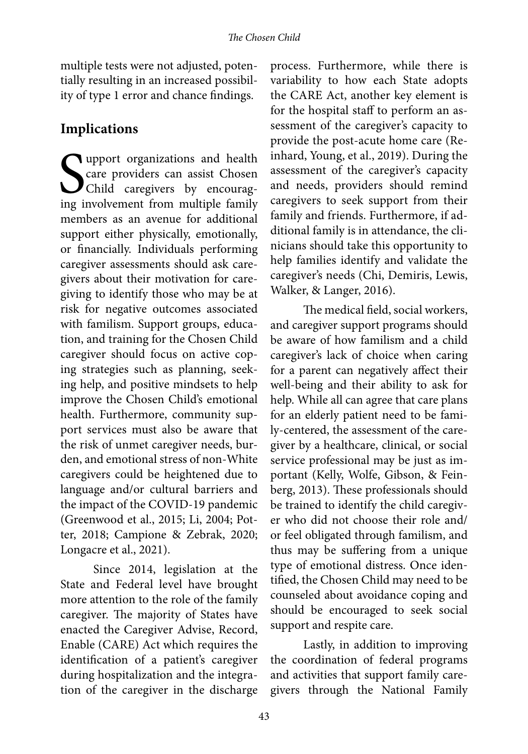multiple tests were not adjusted, potentially resulting in an increased possibility of type 1 error and chance findings.

### **Implications**

Support organizations and health<br>
care providers can assist Chosen<br>
Child caregivers by encourag-<br>
ing involvement from multiple family **T** upport organizations and health care providers can assist Chosen Child caregivers by encouragmembers as an avenue for additional support either physically, emotionally, or financially. Individuals performing caregiver assessments should ask caregivers about their motivation for caregiving to identify those who may be at risk for negative outcomes associated with familism. Support groups, education, and training for the Chosen Child caregiver should focus on active coping strategies such as planning, seeking help, and positive mindsets to help improve the Chosen Child's emotional health. Furthermore, community support services must also be aware that the risk of unmet caregiver needs, burden, and emotional stress of non-White caregivers could be heightened due to language and/or cultural barriers and the impact of the COVID-19 pandemic (Greenwood et al., 2015; Li, 2004; Potter, 2018; Campione & Zebrak, 2020; Longacre et al., 2021).

Since 2014, legislation at the State and Federal level have brought more attention to the role of the family caregiver. The majority of States have enacted the Caregiver Advise, Record, Enable (CARE) Act which requires the identification of a patient's caregiver during hospitalization and the integration of the caregiver in the discharge

process. Furthermore, while there is variability to how each State adopts the CARE Act, another key element is for the hospital staff to perform an assessment of the caregiver's capacity to provide the post-acute home care (Reinhard, Young, et al., 2019). During the assessment of the caregiver's capacity and needs, providers should remind caregivers to seek support from their family and friends. Furthermore, if additional family is in attendance, the clinicians should take this opportunity to help families identify and validate the caregiver's needs (Chi, Demiris, Lewis, Walker, & Langer, 2016).

The medical field, social workers, and caregiver support programs should be aware of how familism and a child caregiver's lack of choice when caring for a parent can negatively affect their well-being and their ability to ask for help. While all can agree that care plans for an elderly patient need to be family-centered, the assessment of the caregiver by a healthcare, clinical, or social service professional may be just as important (Kelly, Wolfe, Gibson, & Feinberg, 2013). These professionals should be trained to identify the child caregiver who did not choose their role and/ or feel obligated through familism, and thus may be suffering from a unique type of emotional distress. Once identified, the Chosen Child may need to be counseled about avoidance coping and should be encouraged to seek social support and respite care.

Lastly, in addition to improving the coordination of federal programs and activities that support family caregivers through the National Family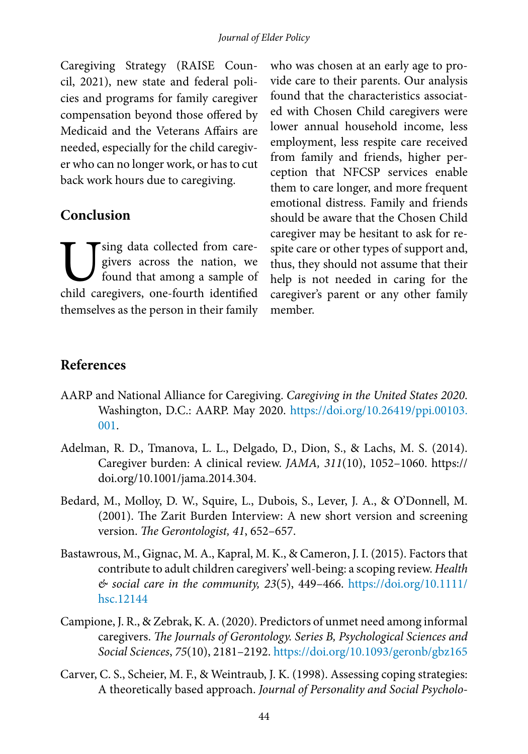Caregiving Strategy (RAISE Council, 2021), new state and federal policies and programs for family caregiver compensation beyond those offered by Medicaid and the Veterans Affairs are needed, especially for the child caregiver who can no longer work, or has to cut back work hours due to caregiving.

#### **Conclusion**

Using data collected from care-<br>givers across the nation, we<br>found that among a sample of<br>child caregivers, one-fourth identified givers across the nation, we found that among a sample of child caregivers, one-fourth identified themselves as the person in their family who was chosen at an early age to provide care to their parents. Our analysis found that the characteristics associated with Chosen Child caregivers were lower annual household income, less employment, less respite care received from family and friends, higher perception that NFCSP services enable them to care longer, and more frequent emotional distress. Family and friends should be aware that the Chosen Child caregiver may be hesitant to ask for respite care or other types of support and, thus, they should not assume that their help is not needed in caring for the caregiver's parent or any other family member.

## **References**

- AARP and National Alliance for Caregiving. *Caregiving in the United States 2020*. Washington, D.C.: AARP. May 2020. [https://doi.org/10.26419/ppi.00103.](https://doi.org/10.26419/ppi.00103.001) [001.](https://doi.org/10.26419/ppi.00103.001)
- Adelman, R. D., Tmanova, L. L., Delgado, D., Dion, S., & Lachs, M. S. (2014). Caregiver burden: A clinical review. *JAMA, 311*(10), 1052–1060. https:// doi.org/10.1001/jama.2014.304.
- Bedard, M., Molloy, D. W., Squire, L., Dubois, S., Lever, J. A., & O'Donnell, M. (2001). The Zarit Burden Interview: A new short version and screening version. *The Gerontologist, 41*, 652–657.
- Bastawrous, M., Gignac, M. A., Kapral, M. K., & Cameron, J. I. (2015). Factors that contribute to adult children caregivers' well-being: a scoping review. *Health & social care in the community, 23*(5), 449–466. [https://doi.org/10.1111/](https://doi.org/10.1111/hsc.12144) [hsc.12144](https://doi.org/10.1111/hsc.12144)
- Campione, J. R., & Zebrak, K. A. (2020). Predictors of unmet need among informal caregivers. *The Journals of Gerontology. Series B, Psychological Sciences and Social Sciences*, *75*(10), 2181–2192.<https://doi.org/10.1093/geronb/gbz165>
- Carver, C. S., Scheier, M. F., & Weintraub, J. K. (1998). Assessing coping strategies: A theoretically based approach. *Journal of Personality and Social Psycholo-*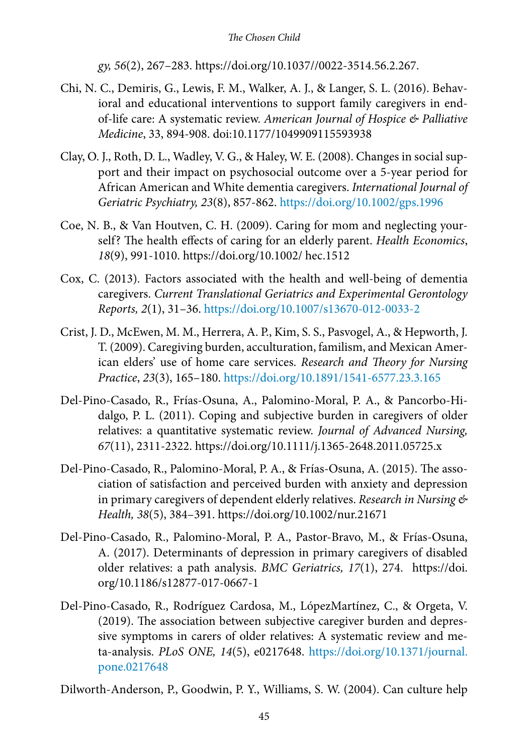*gy, 56*(2), 267–283. https://doi.org/10.1037//0022-3514.56.2.267.

- Chi, N. C., Demiris, G., Lewis, F. M., Walker, A. J., & Langer, S. L. (2016). Behavioral and educational interventions to support family caregivers in endof-life care: A systematic review. *American Journal of Hospice & Palliative Medicine*, 33, 894-908. doi:10.1177/1049909115593938
- Clay, O. J., Roth, D. L., Wadley, V. G., & Haley, W. E. (2008). Changes in social support and their impact on psychosocial outcome over a 5-year period for African American and White dementia caregivers. *International Journal of Geriatric Psychiatry, 23*(8), 857-862.<https://doi.org/10.1002/gps.1996>
- Coe, N. B., & Van Houtven, C. H. (2009). Caring for mom and neglecting yourself? The health effects of caring for an elderly parent. *Health Economics*, *18*(9), 991-1010. https://doi.org/10.1002/ hec.1512
- Cox, C. (2013). Factors associated with the health and well-being of dementia caregivers. *Current Translational Geriatrics and Experimental Gerontology Reports, 2*(1), 31–36. <https://doi.org/10.1007/s13670-012-0033-2>
- Crist, J. D., McEwen, M. M., Herrera, A. P., Kim, S. S., Pasvogel, A., & Hepworth, J. T. (2009). Caregiving burden, acculturation, familism, and Mexican American elders' use of home care services. *Research and Theory for Nursing Practice*, *23*(3), 165–180. <https://doi.org/10.1891/1541-6577.23.3.165>
- Del-Pino-Casado, R., Frías-Osuna, A., Palomino-Moral, P. A., & Pancorbo-Hidalgo, P. L. (2011). Coping and subjective burden in caregivers of older relatives: a quantitative systematic review. *Journal of Advanced Nursing, 67*(11), 2311-2322. https://doi.org/10.1111/j.1365-2648.2011.05725.x
- Del‐Pino‐Casado, R., Palomino‐Moral, P. A., & Frías‐Osuna, A. (2015). The association of satisfaction and perceived burden with anxiety and depression in primary caregivers of dependent elderly relatives. *Research in Nursing & Health, 38*(5), 384–391. https://doi.org/10.1002/nur.21671
- Del-Pino-Casado, R., Palomino-Moral, P. A., Pastor-Bravo, M., & Frías-Osuna, A. (2017). Determinants of depression in primary caregivers of disabled older relatives: a path analysis. *BMC Geriatrics, 17*(1), 274. https://doi. org/10.1186/s12877-017-0667-1
- Del-Pino-Casado, R., Rodríguez Cardosa, M., LópezMartínez, C., & Orgeta, V. (2019). The association between subjective caregiver burden and depressive symptoms in carers of older relatives: A systematic review and meta-analysis. *PLoS ONE, 14*(5), e0217648. [https://doi.org/10.1371/journal.](https://doi.org/10.1371/journal.pone.0217648) [pone.0217648](https://doi.org/10.1371/journal.pone.0217648)

Dilworth-Anderson, P., Goodwin, P. Y., Williams, S. W. (2004). Can culture help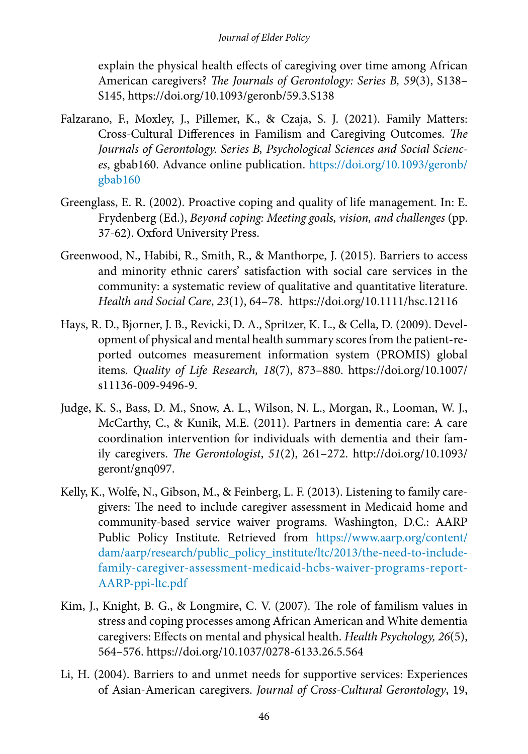explain the physical health effects of caregiving over time among African American caregivers? *The Journals of Gerontology: Series B, 59*(3), S138– S145, https://doi.org/10.1093/geronb/59.3.S138

- Falzarano, F., Moxley, J., Pillemer, K., & Czaja, S. J. (2021). Family Matters: Cross-Cultural Differences in Familism and Caregiving Outcomes. *The Journals of Gerontology. Series B, Psychological Sciences and Social Sciences*, gbab160. Advance online publication. [https://doi.org/10.1093/geronb/](https://doi.org/10.1093/geronb/gbab160) [gbab160](https://doi.org/10.1093/geronb/gbab160)
- Greenglass, E. R. (2002). Proactive coping and quality of life management*.* In: E. Frydenberg (Ed.), *Beyond coping: Meeting goals, vision, and challenges* (pp. 37-62). Oxford University Press.
- Greenwood, N., Habibi, R., Smith, R., & Manthorpe, J. (2015). Barriers to access and minority ethnic carers' satisfaction with social care services in the community: a systematic review of qualitative and quantitative literature. *Health and Social Care*, *23*(1), 64–78. https://doi.org/10.1111/hsc.12116
- Hays, R. D., Bjorner, J. B., Revicki, D. A., Spritzer, K. L., & Cella, D. (2009). Development of physical and mental health summary scores from the patient-reported outcomes measurement information system (PROMIS) global items. *Quality of Life Research, 18*(7), 873–880. https://doi.org/10.1007/ s11136-009-9496-9.
- Judge, K. S., Bass, D. M., Snow, A. L., Wilson, N. L., Morgan, R., Looman, W. J., McCarthy, C., & Kunik, M.E. (2011). Partners in dementia care: A care coordination intervention for individuals with dementia and their family caregivers. *The Gerontologist*, *51*(2), 261–272. http://doi.org/10.1093/ geront/gnq097.
- Kelly, K., Wolfe, N., Gibson, M., & Feinberg, L. F. (2013). Listening to family caregivers: The need to include caregiver assessment in Medicaid home and community-based service waiver programs. Washington, D.C.: AARP Public Policy Institute. Retrieved from [https://www.aarp.org/content/](https://www.aarp.org/content/dam/aarp/research/public_policy_institute/ltc/2013/the-need-to-include-family-caregiver-assessment-medicaid-hcbs-waiver-programs-report-AARP-ppi-ltc.pdf) [dam/aarp/research/public\\_policy\\_institute/ltc/2013/the-need-to-include](https://www.aarp.org/content/dam/aarp/research/public_policy_institute/ltc/2013/the-need-to-include-family-caregiver-assessment-medicaid-hcbs-waiver-programs-report-AARP-ppi-ltc.pdf)[family-caregiver-assessment-medicaid-hcbs-waiver-programs-report-](https://www.aarp.org/content/dam/aarp/research/public_policy_institute/ltc/2013/the-need-to-include-family-caregiver-assessment-medicaid-hcbs-waiver-programs-report-AARP-ppi-ltc.pdf)[AARP-ppi-ltc.pdf](https://www.aarp.org/content/dam/aarp/research/public_policy_institute/ltc/2013/the-need-to-include-family-caregiver-assessment-medicaid-hcbs-waiver-programs-report-AARP-ppi-ltc.pdf)
- Kim, J., Knight, B. G., & Longmire, C. V. (2007). The role of familism values in stress and coping processes among African American and White dementia caregivers: Effects on mental and physical health. *Health Psychology, 26*(5), 564–576. https://doi.org/10.1037/0278-6133.26.5.564
- Li, H. (2004). Barriers to and unmet needs for supportive services: Experiences of Asian-American caregivers. *Journal of Cross-Cultural Gerontology*, 19,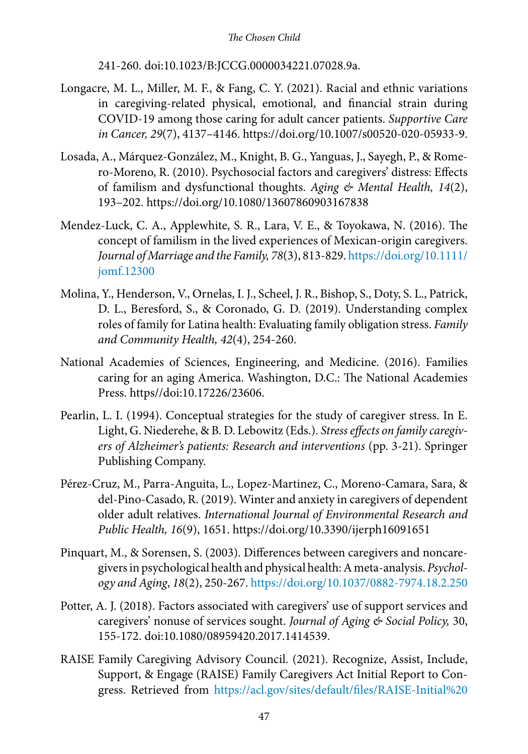241-260. doi:10.1023/B:JCCG.0000034221.07028.9a.

- Longacre, M. L., Miller, M. F., & Fang, C. Y. (2021). Racial and ethnic variations in caregiving-related physical, emotional, and financial strain during COVID-19 among those caring for adult cancer patients. *Supportive Care in Cancer, 29*(7), 4137–4146. https://doi.org/10.1007/s00520-020-05933-9.
- Losada, A., Márquez-González, M., Knight, B. G., Yanguas, J., Sayegh, P., & Romero-Moreno, R. (2010). Psychosocial factors and caregivers' distress: Effects of familism and dysfunctional thoughts. *Aging & Mental Health, 14*(2), 193–202. https://doi.org/10.1080/13607860903167838
- Mendez-Luck, C. A., Applewhite, S. R., Lara, V. E., & Toyokawa, N. (2016). The concept of familism in the lived experiences of Mexican-origin caregivers. *Journal of Marriage and the Family, 78*(3), 813-829. [https://doi.org/10.1111/](https://doi.org/10.1111/jomf.12300) [jomf.12300](https://doi.org/10.1111/jomf.12300)
- Molina, Y., Henderson, V., Ornelas, I. J., Scheel, J. R., Bishop, S., Doty, S. L., Patrick, D. L., Beresford, S., & Coronado, G. D. (2019). Understanding complex roles of family for Latina health: Evaluating family obligation stress. *Family and Community Health, 42*(4), 254-260.
- National Academies of Sciences, Engineering, and Medicine. (2016). Families caring for an aging America. Washington, D.C.: The National Academies Press. https//doi:10.17226/23606.
- Pearlin, L. I. (1994). Conceptual strategies for the study of caregiver stress. In E. Light, G. Niederehe, & B. D. Lebowitz (Eds.). *Stress effects on family caregivers of Alzheimer's patients: Research and interventions* (pp. 3-21). Springer Publishing Company.
- Pérez-Cruz, M., Parra-Anguita, L., Lopez-Martinez, C., Moreno-Camara, Sara, & del-Pino-Casado, R. (2019). Winter and anxiety in caregivers of dependent older adult relatives. *International Journal of Environmental Research and Public Health, 16*(9), 1651. https://doi.org/10.3390/ijerph16091651
- Pinquart, M., & Sorensen, S. (2003). Differences between caregivers and noncaregivers in psychological health and physical health: A meta-analysis. *Psychology and Aging*, *18*(2), 250-267.<https://doi.org/10.1037/0882-7974.18.2.250>
- Potter, A. J. (2018). Factors associated with caregivers' use of support services and caregivers' nonuse of services sought. *Journal of Aging & Social Policy,* 30, 155-172. doi:10.1080/08959420.2017.1414539.
- RAISE Family Caregiving Advisory Council. (2021). Recognize, Assist, Include, Support, & Engage (RAISE) Family Caregivers Act Initial Report to Congress. Retrieved from [https://acl.gov/sites/default/files/RAISE-Initial%20](https://acl.gov/sites/default/files/RAISE-Initial%20Report%20To%20Congress%202021_Final.pdf)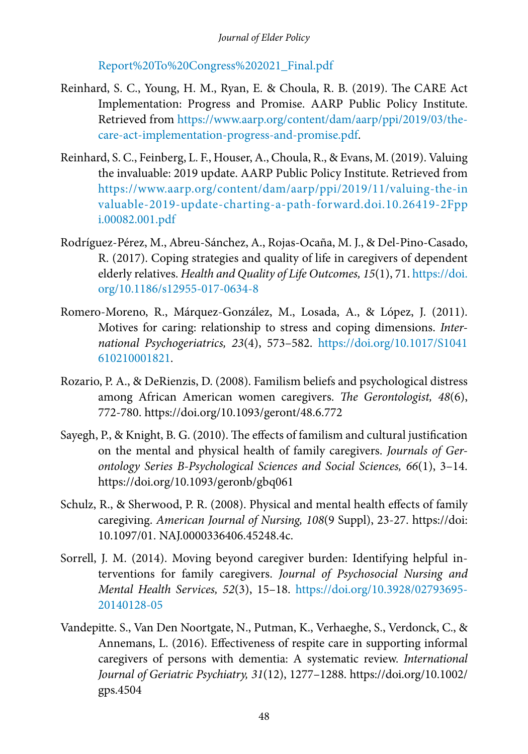[Report%20To%20Congress%202021\\_Final.pdf](https://acl.gov/sites/default/files/RAISE-Initial%20Report%20To%20Congress%202021_Final.pdf)

- Reinhard, S. C., Young, H. M., Ryan, E. & Choula, R. B. (2019). The CARE Act Implementation: Progress and Promise. AARP Public Policy Institute. Retrieved from [https://www.aarp.org/content/dam/aarp/ppi/2019/03/the](https://www.aarp.org/content/dam/aarp/ppi/2019/03/the-care-act-implementation-progress-and-promise.pdf)[care-act-implementation-progress-and-promise.pdf.](https://www.aarp.org/content/dam/aarp/ppi/2019/03/the-care-act-implementation-progress-and-promise.pdf)
- Reinhard, S. C., Feinberg, L. F., Houser, A., Choula, R., & Evans, M. (2019). Valuing the invaluable: 2019 update. AARP Public Policy Institute. Retrieved from [https://www.aarp.org/content/dam/aarp/ppi/2019/11/valuing-the-in](https://www.aarp.org/content/dam/aarp/ppi/2019/11/valuing-the-invaluable-2019-update-charting-a-path-forward.doi.10.26419-2Fppi.00082.001.pdf) [valuable-2019-update-charting-a-path-forward.doi.10.26419-2Fpp](https://www.aarp.org/content/dam/aarp/ppi/2019/11/valuing-the-invaluable-2019-update-charting-a-path-forward.doi.10.26419-2Fppi.00082.001.pdf) [i.00082.001.pdf](https://www.aarp.org/content/dam/aarp/ppi/2019/11/valuing-the-invaluable-2019-update-charting-a-path-forward.doi.10.26419-2Fppi.00082.001.pdf)
- Rodríguez-Pérez, M., Abreu-Sánchez, A., Rojas-Ocaña, M. J., & Del-Pino-Casado, R. (2017). Coping strategies and quality of life in caregivers of dependent elderly relatives. *Health and Quality of Life Outcomes, 15*(1), 71. [https://doi.](https://doi.org/10.1186/s12955-017-0634-8) [org/10.1186/s12955-017-0634-8](https://doi.org/10.1186/s12955-017-0634-8)
- Romero-Moreno, R., Márquez-González, M., Losada, A., & López, J. (2011). Motives for caring: relationship to stress and coping dimensions. *International Psychogeriatrics, 23*(4), 573–582. [https://doi.org/10.1017/S1041](https://doi.org/10.1017/S1041610210001821) [610210001821.](https://doi.org/10.1017/S1041610210001821)
- Rozario, P. A., & DeRienzis, D. (2008). Familism beliefs and psychological distress among African American women caregivers. *The Gerontologist, 48*(6), 772-780. https://doi.org/10.1093/geront/48.6.772
- Sayegh, P., & Knight, B. G. (2010). The effects of familism and cultural justification on the mental and physical health of family caregivers. *Journals of Gerontology Series B-Psychological Sciences and Social Sciences, 66*(1), 3–14. https://doi.org/10.1093/geronb/gbq061
- Schulz, R., & Sherwood, P. R. (2008). Physical and mental health effects of family caregiving. *American Journal of Nursing, 108*(9 Suppl), 23-27. https://doi: 10.1097/01. NAJ.0000336406.45248.4c.
- Sorrell, J. M. (2014). Moving beyond caregiver burden: Identifying helpful interventions for family caregivers. *Journal of Psychosocial Nursing and Mental Health Services, 52*(3), 15–18. [https://doi.org/10.3928/02793695-](https://doi.org/10.3928/02793695-20140128-05) [20140128-05](https://doi.org/10.3928/02793695-20140128-05)
- Vandepitte. S., Van Den Noortgate, N., Putman, K., Verhaeghe, S., Verdonck, C., & Annemans, L. (2016). Effectiveness of respite care in supporting informal caregivers of persons with dementia: A systematic review. *International Journal of Geriatric Psychiatry, 31*(12), 1277–1288. https://doi.org/10.1002/ gps.4504